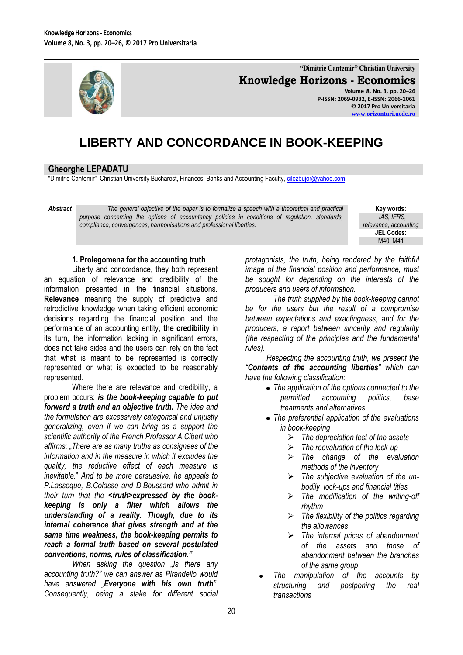

**"Dimitrie Cantemir" Christian University Knowledge Horizons - Economics Volume 8, No. 3, pp. 20–26**

**P-ISSN: 2069-0932, E-ISSN: 2066-1061 © 2017 Pro Universitaria [www.orizonturi.ucdc.ro](http://www.orizonturi.ucdc.ro/)**

# **LIBERTY AND CONCORDANCE IN BOOK-KEEPING**

# **Gheorghe LEPADATU**

"Dimitrie Cantemir" Christian University Bucharest, Finances, Banks and Accounting Faculty, [cilezbujor@yahoo.com](mailto:cilezbujor@yahoo.com)

*Abstract The general objective of the paper is to formalize a speech with a theoretical and practical purpose concerning the options of accountancy policies in conditions of regulation, standards, compliance, convergences, harmonisations and professional liberties.*

**Key words:**  *IAS, IFRS, relevance, accounting* **JEL Codes:** M40; M41

## **1. Prolegomena for the accounting truth**

Liberty and concordance, they both represent an equation of relevance and credibility of the information presented in the financial situations. **Relevance** meaning the supply of predictive and retrodictive knowledge when taking efficient economic decisions regarding the financial position and the performance of an accounting entity, **the credibility** in its turn, the information lacking in significant errors, does not take sides and the users can rely on the fact that what is meant to be represented is correctly represented or what is expected to be reasonably represented.

Where there are relevance and credibility, a problem occurs: *is the book-keeping capable to put forward a truth and an objective truth. The idea and the formulation are excessively categorical and unjustly generalizing, even if we can bring as a support the scientific authority of the French Professor A.Cibert who affirms*: "*There are as many truths as consignees of the information and in the measure in which it excludes the quality, the reductive effect of each measure is inevitable.*" *And to be more persuasive, he appeals to P.Lasseque, B.Colasse and D.Boussard who admit in their turn that the <truth>expressed by the bookkeeping is only a filter which allows the understanding of a reality. Though, due to its internal coherence that gives strength and at the same time weakness, the book-keeping permits to reach a formal truth based on several postulated conventions, norms, rules of classification."* 

*When asking the question "Is there any accounting truth?" we can answer as Pirandello would have answered "Everyone with his own truth". Consequently, being a stake for different social* 

*protagonists, the truth, being rendered by the faithful image of the financial position and performance, must be sought for depending on the interests of the producers and users of information.*

*The truth supplied by the book-keeping cannot be for the users but the result of a compromise between expectations and exactingness, and for the producers, a report between sincerity and regularity (the respecting of the principles and the fundamental rules).*

*Respecting the accounting truth, we present the "Contents of the accounting liberties" which can have the following classification:* 

- *The application of the options connected to the permitted accounting politics, base treatments and alternatives*
- *The preferential application of the evaluations in book-keeping*
	- *The depreciation test of the assets*
	- *The reevaluation of the lock-up*
	- *The change of the evaluation methods of the inventory*
	- *The subjective evaluation of the unbodily lock-ups and financial titles*
	- *The modification of the writing-off rhythm*
	- *The flexibility of the politics regarding the allowances*
	- *The internal prices of abandonment of the assets and those of abandonment between the branches of the same group*
- *The manipulation of the accounts by structuring and postponing the real transactions*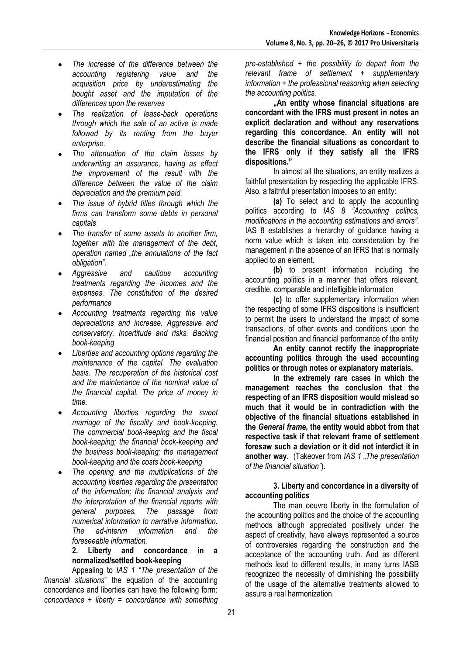- *The increase of the difference between the*   $\bullet$ *accounting registering value and the acquisition price by underestimating the bought asset and the imputation of the differences upon the reserves*
- *The realization of lease-back operations through which the sale of an active is made followed by its renting from the buyer enterprise.*
- *The attenuation of the claim losses by underwriting an assurance, having as effect the improvement of the result with the difference between the value of the claim depreciation and the premium paid.*
- $\bullet$ *The issue of hybrid titles through which the firms can transform some debts in personal capitals*
- *The transfer of some assets to another firm, together with the management of the debt, operation named "the annulations of the fact obligation".*
- *Aggressive and cautious accounting treatments regarding the incomes and the expenses. The constitution of the desired performance*
- *Accounting treatments regarding the value depreciations and increase. Aggressive and conservatory. Incertitude and risks. Backing book-keeping*
- *Liberties and accounting options regarding the*   $\bullet$ *maintenance of the capital. The evaluation basis. The recuperation of the historical cost and the maintenance of the nominal value of the financial capital. The price of money in time.*
- *Accounting liberties regarding the sweet marriage of the fiscality and book-keeping. The commercial book-keeping and the fiscal book-keeping; the financial book-keeping and the business book-keeping; the management book-keeping and the costs book-keeping*
- *The opening and the multiplications of the accounting liberties regarding the presentation of the information; the financial analysis and the interpretation of the financial reports with general purposes. The passage from numerical information to narrative information. The ad-interim information and the foreseeable information.*

## **2. Liberty and concordance in a normalized/settled book-keeping**

Appealing to *IAS 1 "The presentation of the financial situations*" the equation of the accounting concordance and liberties can have the following form: *concordance + liberty = concordance with something* 

*pre-established + the possibility to depart from the relevant frame of settlement + supplementary information + the professional reasoning when selecting the accounting politics.*

**"An entity whose financial situations are concordant with the IFRS must present in notes an explicit declaration and without any reservations regarding this concordance. An entity will not describe the financial situations as concordant to the IFRS only if they satisfy all the IFRS dispositions."** 

In almost all the situations, an entity realizes a faithful presentation by respecting the applicable IFRS. Also, a faithful presentation imposes to an entity:

**(a)** To select and to apply the accounting politics according to *IAS 8 "Accounting politics, modifications in the accounting estimations and errors"*. IAS 8 establishes a hierarchy of guidance having a norm value which is taken into consideration by the management in the absence of an IFRS that is normally applied to an element.

**(b)** to present information including the accounting politics in a manner that offers relevant, credible, comparable and intelligible information

**(c)** to offer supplementary information when the respecting of some IFRS dispositions is insufficient to permit the users to understand the impact of some transactions, of other events and conditions upon the financial position and financial performance of the entity

**An entity cannot rectify the inappropriate accounting politics through the used accounting politics or through notes or explanatory materials.** 

**In the extremely rare cases in which the management reaches the conclusion that the respecting of an IFRS disposition would mislead so much that it would be in contradiction with the objective of the financial situations established in the** *General frame***, the entity would abbot from that respective task if that relevant frame of settlement foresaw such a deviation or it did not interdict it in another way.** (Takeover from *IAS 1 "The presentation of the financial situation"*).

## **3. Liberty and concordance in a diversity of accounting politics**

The man oeuvre liberty in the formulation of the accounting politics and the choice of the accounting methods although appreciated positively under the aspect of creativity, have always represented a source of controversies regarding the construction and the acceptance of the accounting truth. And as different methods lead to different results, in many turns IASB recognized the necessity of diminishing the possibility of the usage of the alternative treatments allowed to assure a real harmonization.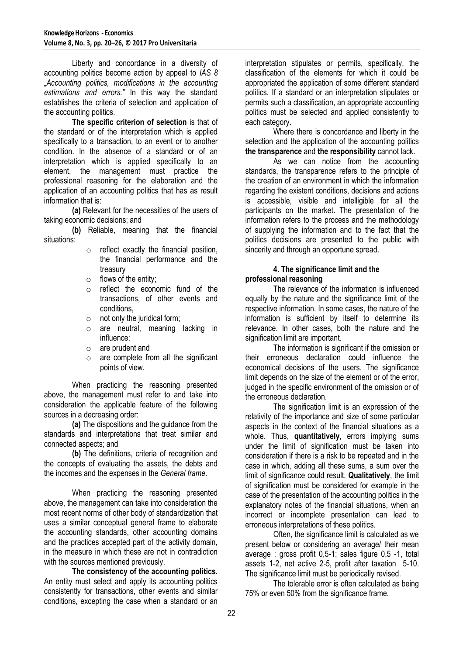Liberty and concordance in a diversity of accounting politics become action by appeal to *IAS 8 "Accounting politics, modifications in the accounting estimations and errors."* In this way the standard establishes the criteria of selection and application of the accounting politics.

**The specific criterion of selection** is that of the standard or of the interpretation which is applied specifically to a transaction, to an event or to another condition. In the absence of a standard or of an interpretation which is applied specifically to an element, the management must practice the professional reasoning for the elaboration and the application of an accounting politics that has as result information that is:

**(a)** Relevant for the necessities of the users of taking economic decisions; and

**(b)** Reliable, meaning that the financial situations:

- $\circ$  reflect exactly the financial position, the financial performance and the treasury
- $\circ$  flows of the entity;
- o reflect the economic fund of the transactions, of other events and conditions,
- $\circ$  not only the juridical form;
- o are neutral, meaning lacking in influence;
- o are prudent and
- o are complete from all the significant points of view.

When practicing the reasoning presented above, the management must refer to and take into consideration the applicable feature of the following sources in a decreasing order:

**(a)** The dispositions and the guidance from the standards and interpretations that treat similar and connected aspects; and

**(b)** The definitions, criteria of recognition and the concepts of evaluating the assets, the debts and the incomes and the expenses in the *General frame*.

When practicing the reasoning presented above, the management can take into consideration the most recent norms of other body of standardization that uses a similar conceptual general frame to elaborate the accounting standards, other accounting domains and the practices accepted part of the activity domain, in the measure in which these are not in contradiction with the sources mentioned previously.

**The consistency of the accounting politics.** An entity must select and apply its accounting politics consistently for transactions, other events and similar conditions, excepting the case when a standard or an interpretation stipulates or permits, specifically, the classification of the elements for which it could be appropriated the application of some different standard politics. If a standard or an interpretation stipulates or permits such a classification, an appropriate accounting politics must be selected and applied consistently to each category.

Where there is concordance and liberty in the selection and the application of the accounting politics **the transparence** and **the responsibility** cannot lack.

As we can notice from the accounting standards, the transparence refers to the principle of the creation of an environment in which the information regarding the existent conditions, decisions and actions is accessible, visible and intelligible for all the participants on the market. The presentation of the information refers to the process and the methodology of supplying the information and to the fact that the politics decisions are presented to the public with sincerity and through an opportune spread.

#### **4. The significance limit and the professional reasoning**

The relevance of the information is influenced equally by the nature and the significance limit of the respective information. In some cases, the nature of the information is sufficient by itself to determine its relevance. In other cases, both the nature and the signification limit are important.

The information is significant if the omission or their erroneous declaration could influence the economical decisions of the users. The significance limit depends on the size of the element or of the error, judged in the specific environment of the omission or of the erroneous declaration.

The signification limit is an expression of the relativity of the importance and size of some particular aspects in the context of the financial situations as a whole. Thus, **quantitatively**, errors implying sums under the limit of signification must be taken into consideration if there is a risk to be repeated and in the case in which, adding all these sums, a sum over the limit of significance could result. **Qualitatively**, the limit of signification must be considered for example in the case of the presentation of the accounting politics in the explanatory notes of the financial situations, when an incorrect or incomplete presentation can lead to erroneous interpretations of these politics.

Often, the significance limit is calculated as we present below or considering an average/ their mean average : gross profit 0,5-1; sales figure 0,5 -1, total assets 1-2, net active 2-5, profit after taxation 5-10. The significance limit must be periodically revised.

The tolerable error is often calculated as being 75% or even 50% from the significance frame.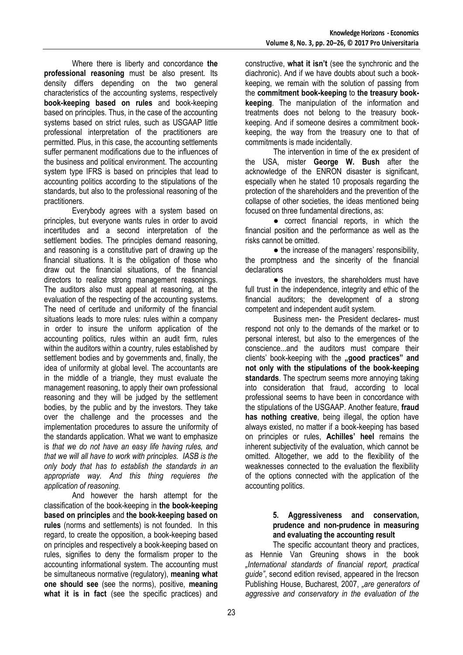Where there is liberty and concordance **the professional reasoning** must be also present. Its density differs depending on the two general characteristics of the accounting systems, respectively **book-keeping based on rules** and book-keeping based on principles. Thus, in the case of the accounting systems based on strict rules, such as USGAAP little professional interpretation of the practitioners are permitted. Plus, in this case, the accounting settlements suffer permanent modifications due to the influences of the business and political environment. The accounting system type IFRS is based on principles that lead to accounting politics according to the stipulations of the standards, but also to the professional reasoning of the practitioners.

Everybody agrees with a system based on principles, but everyone wants rules in order to avoid incertitudes and a second interpretation of the settlement bodies. The principles demand reasoning, and reasoning is a constitutive part of drawing up the financial situations. It is the obligation of those who draw out the financial situations, of the financial directors to realize strong management reasonings. The auditors also must appeal at reasoning, at the evaluation of the respecting of the accounting systems. The need of certitude and uniformity of the financial situations leads to more rules: rules within a company in order to insure the uniform application of the accounting politics, rules within an audit firm, rules within the auditors within a country, rules established by settlement bodies and by governments and, finally, the idea of uniformity at global level. The accountants are in the middle of a triangle, they must evaluate the management reasoning, to apply their own professional reasoning and they will be judged by the settlement bodies, by the public and by the investors. They take over the challenge and the processes and the implementation procedures to assure the uniformity of the standards application. What we want to emphasize is *that we do not have an easy life having rules, and that we will all have to work with principles. IASB is the only body that has to establish the standards in an appropriate way. And this thing requieres the application of reasoning.*

And however the harsh attempt for the classification of the book-keeping in **the book-keeping based on principles** and **the book-keeping based on rules** (norms and settlements) is not founded. In this regard, to create the opposition, a book-keeping based on principles and respectively a book-keeping based on rules, signifies to deny the formalism proper to the accounting informational system. The accounting must be simultaneous normative (regulatory), **meaning what one should see** (see the norms), positive, **meaning what it is in fact** (see the specific practices) and

constructive, **what it isn't** (see the synchronic and the diachronic). And if we have doubts about such a bookkeeping, we remain with the solution of passing from the **commitment book-keeping** to **the treasury bookkeeping**. The manipulation of the information and treatments does not belong to the treasury bookkeeping. And if someone desires a commitment bookkeeping, the way from the treasury one to that of commitments is made incidentally.

The intervention in time of the ex president of the USA, mister **George W. Bush** after the acknowledge of the ENRON disaster is significant, especially when he stated 10 proposals regarding the protection of the shareholders and the prevention of the collapse of other societies, the ideas mentioned being focused on three fundamental directions, as:

● correct financial reports, in which the financial position and the performance as well as the risks cannot be omitted.

● the increase of the managers' responsibility, the promptness and the sincerity of the financial declarations

• the investors, the shareholders must have full trust in the independence, integrity and ethic of the financial auditors; the development of a strong competent and independent audit system.

Business men- the President declares- must respond not only to the demands of the market or to personal interest, but also to the emergences of the conscience...and the auditors must compare their clients' book-keeping with the **,good practices**" and **not only with the stipulations of the book-keeping standards**. The spectrum seems more annoying taking into consideration that fraud, according to local professional seems to have been in concordance with the stipulations of the USGAAP. Another feature, **fraud has nothing creative**, being illegal, the option have always existed, no matter if a book-keeping has based on principles or rules, **Achilles' heel** remains the inherent subjectivity of the evaluation, which cannot be omitted. Altogether, we add to the flexibility of the weaknesses connected to the evaluation the flexibility of the options connected with the application of the accounting politics.

# **5. Aggressiveness and conservation, prudence and non-prudence in measuring and evaluating the accounting result**

The specific accountant theory and practices, as Hennie Van Greuning shows in the book *"International standards of financial report, practical guide"*, second edition revised, appeared in the Irecson Publishing House, Bucharest, 2007, *"are generators of aggressive and conservatory in the evaluation of the*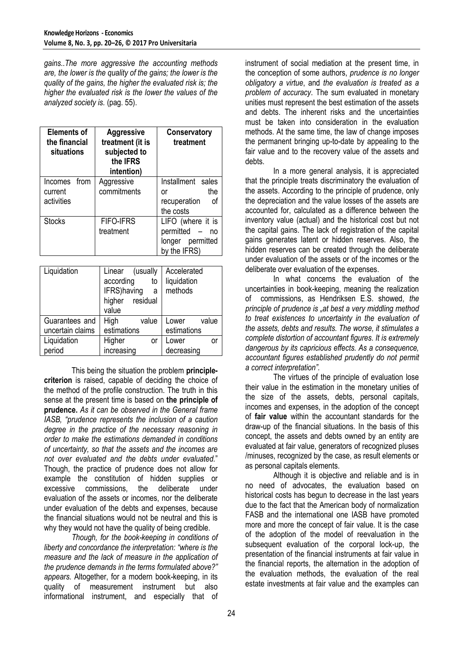*gains..The more aggressive the accounting methods are, the lower is the quality of the gains; the lower is the quality of the gains, the higher the evaluated risk is; the higher the evaluated risk is the lower the values of the analyzed society is.* (pag. 55).

| <b>Elements of</b><br>the financial<br>situations | <b>Aggressive</b><br>treatment (it is<br>subjected to<br>the IFRS<br>intention) | Conservatory<br>treatment                                                         |
|---------------------------------------------------|---------------------------------------------------------------------------------|-----------------------------------------------------------------------------------|
| from<br>Incomes<br>current<br>activities          | Aggressive<br>commitments                                                       | Installment sales<br>the<br>or<br>recuperation<br>οf<br>the costs                 |
| Stocks                                            | <b>FIFO-IFRS</b><br>treatment                                                   | LIFO (where it is<br>permitted<br>$ \,$<br>no<br>longer permitted<br>by the IFRS) |

| Liquidation      | (usually<br>Linear<br>according<br>to<br>IFRS) having<br>a<br>higher residual<br>value | Accelerated<br>liquidation<br>methods |
|------------------|----------------------------------------------------------------------------------------|---------------------------------------|
| Guarantees and   | High<br>value                                                                          | value<br>Lower                        |
| uncertain claims | estimations                                                                            | estimations                           |
| Liquidation      | Higher<br>or                                                                           | Lower<br>or                           |
| period           | increasing                                                                             | decreasing                            |

This being the situation the problem **principlecriterion** is raised, capable of deciding the choice of the method of the profile construction. The truth in this sense at the present time is based on **the principle of prudence.** *As it can be observed in the General frame IASB, "prudence represents the inclusion of a caution degree in the practice of the necessary reasoning in order to make the estimations demanded in conditions of uncertainty, so that the assets and the incomes are not over evaluated and the debts under evaluated.*" Though, the practice of prudence does not allow for example the constitution of hidden supplies or excessive commissions, the deliberate under evaluation of the assets or incomes, nor the deliberate under evaluation of the debts and expenses, because the financial situations would not be neutral and this is why they would not have the quality of being credible.

*Though, for the book-keeping in conditions of liberty and concordance the interpretation: "where is the measure and the lack of measure in the application of the prudence demands in the terms formulated above?" appears.* Altogether, for a modern book-keeping, in its quality of measurement instrument but also informational instrument, and especially that of

instrument of social mediation at the present time, in the conception of some authors, *prudence is no longer obligatory a virtue*, and *the evaluation is treated as a problem of accuracy*. The sum evaluated in monetary unities must represent the best estimation of the assets and debts. The inherent risks and the uncertainties must be taken into consideration in the evaluation methods. At the same time, the law of change imposes the permanent bringing up-to-date by appealing to the fair value and to the recovery value of the assets and debts.

In a more general analysis, it is appreciated that the principle treats discriminatory the evaluation of the assets. According to the principle of prudence, only the depreciation and the value losses of the assets are accounted for, calculated as a difference between the inventory value (actual) and the historical cost but not the capital gains. The lack of registration of the capital gains generates latent or hidden reserves. Also, the hidden reserves can be created through the deliberate under evaluation of the assets or of the incomes or the deliberate over evaluation of the expenses.

In what concerns the evaluation of the uncertainties in book-keeping, meaning the realization of commissions, as Hendriksen E.S. showed, *the principle of prudence is "at best a very middling method to treat existences to uncertainty in the evaluation of the assets, debts and results. The worse, it stimulates a complete distortion of accountant figures. It is extremely dangerous by its capricious effects. As a consequence, accountant figures established prudently do not permit a correct interpretation".* 

The virtues of the principle of evaluation lose their value in the estimation in the monetary unities of the size of the assets, debts, personal capitals, incomes and expenses, in the adoption of the concept of **fair value** within the accountant standards for the draw-up of the financial situations. In the basis of this concept, the assets and debts owned by an entity are evaluated at fair value, generators of recognized pluses /minuses, recognized by the case, as result elements or as personal capitals elements.

Although it is objective and reliable and is in no need of advocates, the evaluation based on historical costs has begun to decrease in the last years due to the fact that the American body of normalization FASB and the international one IASB have promoted more and more the concept of fair value. It is the case of the adoption of the model of reevaluation in the subsequent evaluation of the corporal lock-up, the presentation of the financial instruments at fair value in the financial reports, the alternation in the adoption of the evaluation methods, the evaluation of the real estate investments at fair value and the examples can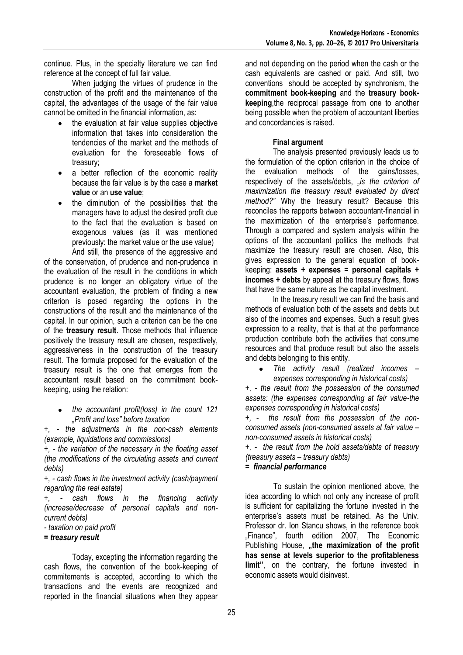continue. Plus, in the specialty literature we can find reference at the concept of full fair value.

When judging the virtues of prudence in the construction of the profit and the maintenance of the capital, the advantages of the usage of the fair value cannot be omitted in the financial information, as:

- the evaluation at fair value supplies objective  $\bullet$ information that takes into consideration the tendencies of the market and the methods of evaluation for the foreseeable flows of treasury;
- a better reflection of the economic reality because the fair value is by the case a **market value** or an **use value**;
- the diminution of the possibilities that the managers have to adjust the desired profit due to the fact that the evaluation is based on exogenous values (as it was mentioned previously: the market value or the use value)

And still, the presence of the aggressive and of the conservation, of prudence and non-prudence in the evaluation of the result in the conditions in which prudence is no longer an obligatory virtue of the accountant evaluation, the problem of finding a new criterion is posed regarding the options in the constructions of the result and the maintenance of the capital. In our opinion, such a criterion can be the one of the **treasury result**. Those methods that influence positively the treasury result are chosen, respectively, aggressiveness in the construction of the treasury result. The formula proposed for the evaluation of the treasury result is the one that emerges from the accountant result based on the commitment bookkeeping, using the relation:

*the accountant profit(loss) in the count 121 "Profit and loss" before taxation*

*+, - the adjustments in the non-cash elements (example, liquidations and commissions)*

*+, - the variation of the necessary in the floating asset (the modifications of the circulating assets and current debts)*

*+, - cash flows in the investment activity (cash/payment regarding the real estate)*

*+, - cash flows in the financing activity (increase/decrease of personal capitals and noncurrent debts)*

*- taxation on paid profit*

# *= treasury result*

Today, excepting the information regarding the cash flows, the convention of the book-keeping of commitements is accepted, according to which the transactions and the events are recognized and reported in the financial situations when they appear

and not depending on the period when the cash or the cash equivalents are cashed or paid. And still, two conventions should be accepted by synchronism, the **commitment book-keeping** and the **treasury bookkeeping**,the reciprocal passage from one to another being possible when the problem of accountant liberties and concordancies is raised.

# **Final argument**

The analysis presented previously leads us to the formulation of the option criterion in the choice of the evaluation methods of the gains/losses, respectively of the assets/debts, "is the criterion of *maximization the treasury result evaluated by direct method?"* Why the treasury result? Because this reconciles the rapports between accountant-financial in the maximization of the enterprise's performance. Through a compared and system analysis within the options of the accountant politics the methods that maximize the treasury result are chosen. Also, this gives expression to the general equation of bookkeeping: **assets + expenses = personal capitals + incomes + debts** by appeal at the treasury flows, flows that have the same nature as the capital investment.

In the treasury result we can find the basis and methods of evaluation both of the assets and debts but also of the incomes and expenses. Such a result gives expression to a reality, that is that at the performance production contribute both the activities that consume resources and that produce result but also the assets and debts belonging to this entity.

*The activity result (realized incomes –*  $\bullet$ *expenses corresponding in historical costs)*

*+, - the result from the possession of the consumed assets: (the expenses corresponding at fair value-the expenses corresponding in historical costs)* 

*+, - the result from the possession of the nonconsumed assets (non-consumed assets at fair value – non-consumed assets in historical costs)*

*+, - the result from the hold assets/debts of treasury (treasury assets – treasury debts)*

## *= financial performance*

To sustain the opinion mentioned above, the idea according to which not only any increase of profit is sufficient for capitalizing the fortune invested in the enterprise's assets must be retained. As the Univ. Professor dr. Ion Stancu shows, in the reference book "Finance", fourth edition 2007, The Economic Publishing House, "the maximization of the profit **has sense at levels superior to the profitableness limit"**, on the contrary, the fortune invested in economic assets would disinvest.